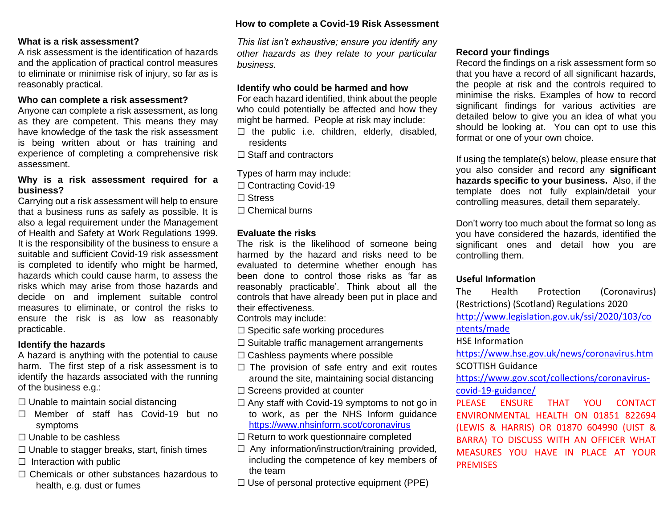## **What is a risk assessment?**

A risk assessment is the identification of hazards and the application of practical control measures to eliminate or minimise risk of injury, so far as is reasonably practical.

#### **Who can complete a risk assessment?**

Anyone can complete a risk assessment, as long as they are competent. This means they may have knowledge of the task the risk assessment is being written about or has training and experience of completing a comprehensive risk assessment.

# **Why is a risk assessment required for a business?**

Carrying out a risk assessment will help to ensure that a business runs as safely as possible. It is also a legal requirement under the Management of Health and Safety at Work Regulations 1999. It is the responsibility of the business to ensure a suitable and sufficient Covid-19 risk assessment is completed to identify who might be harmed, hazards which could cause harm, to assess the risks which may arise from those hazards and decide on and implement suitable control measures to eliminate, or control the risks to ensure the risk is as low as reasonably practicable.

#### **Identify the hazards**

A hazard is anything with the potential to cause harm. The first step of a risk assessment is to identify the hazards associated with the running of the business e.g.:

 $\Box$  Unable to maintain social distancing

- ☐ Member of staff has Covid-19 but no symptoms
- $\Box$  Unable to be cashless
- $\Box$  Unable to stagger breaks, start, finish times
- $\Box$  Interaction with public
- ☐ Chemicals or other substances hazardous to health, e.g. dust or fumes

## **How to complete a Covid-19 Risk Assessment**

*This list isn't exhaustive; ensure you identify any other hazards as they relate to your particular business.*

### **Identify who could be harmed and how**

For each hazard identified, think about the people who could potentially be affected and how they might be harmed. People at risk may include:

- $\Box$  the public i.e. children, elderly, disabled, residents
- ☐ Staff and contractors

Types of harm may include:

☐ Contracting Covid-19

☐ Stress

 $\Box$  Chemical burns

### **Evaluate the risks**

The risk is the likelihood of someone being harmed by the hazard and risks need to be evaluated to determine whether enough has been done to control those risks as 'far as reasonably practicable'. Think about all the controls that have already been put in place and their effectiveness.

Controls may include:

- $\Box$  Specific safe working procedures
- ☐ Suitable traffic management arrangements
- ☐ Cashless payments where possible
- $\Box$  The provision of safe entry and exit routes around the site, maintaining social distancing
- □ Screens provided at counter
- $\Box$  Any staff with Covid-19 symptoms to not go in to work, as per the NHS Inform guidance <https://www.nhsinform.scot/coronavirus>
- ☐ Return to work questionnaire completed
- ☐ Any information/instruction/training provided, including the competence of key members of the team
- $\Box$  Use of personal protective equipment (PPE)

# **Record your findings**

Record the findings on a risk assessment form so that you have a record of all significant hazards, the people at risk and the controls required to minimise the risks. Examples of how to record significant findings for various activities are detailed below to give you an idea of what you should be looking at. You can opt to use this format or one of your own choice.

If using the template(s) below, please ensure that you also consider and record any **significant hazards specific to your business.** Also, if the template does not fully explain/detail your controlling measures, detail them separately.

Don't worry too much about the format so long as you have considered the hazards, identified the significant ones and detail how you are controlling them.

# **Useful Information**

The Health Protection (Coronavirus) (Restrictions) (Scotland) Regulations 2020 [http://www.legislation.gov.uk/ssi/2020/103/co](http://www.legislation.gov.uk/ssi/2020/103/contents/made) [ntents/made](http://www.legislation.gov.uk/ssi/2020/103/contents/made)

HSE Information

<https://www.hse.gov.uk/news/coronavirus.htm> SCOTTISH Guidance

[https://www.gov.scot/collections/coronavirus](https://www.gov.scot/collections/coronavirus-covid-19-guidance/)[covid-19-guidance/](https://www.gov.scot/collections/coronavirus-covid-19-guidance/)

PLEASE ENSURE THAT YOU CONTACT ENVIRONMENTAL HEALTH ON 01851 822694 (LEWIS & HARRIS) OR 01870 604990 (UIST & BARRA) TO DISCUSS WITH AN OFFICER WHAT MEASURES YOU HAVE IN PLACE AT YOUR **PREMISES**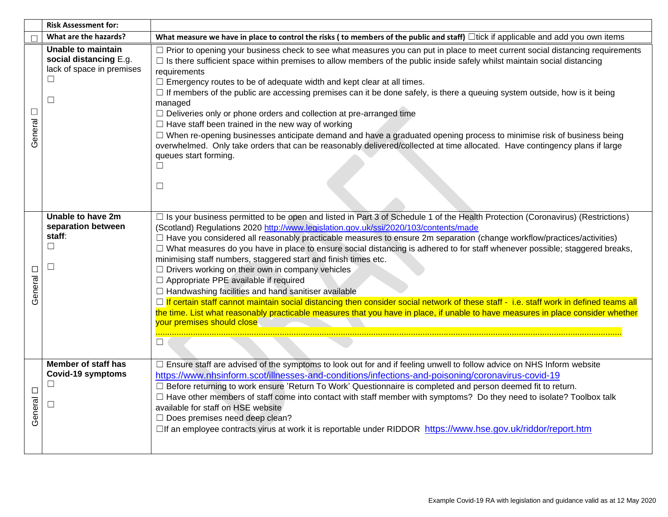|                   | <b>Risk Assessment for:</b>                                                                   |                                                                                                                                                                                                                                                                                                                                                                                                                                                                                                                                                                                                                                                                                                                                                                                                                                                                                                                                                                                                                                                     |
|-------------------|-----------------------------------------------------------------------------------------------|-----------------------------------------------------------------------------------------------------------------------------------------------------------------------------------------------------------------------------------------------------------------------------------------------------------------------------------------------------------------------------------------------------------------------------------------------------------------------------------------------------------------------------------------------------------------------------------------------------------------------------------------------------------------------------------------------------------------------------------------------------------------------------------------------------------------------------------------------------------------------------------------------------------------------------------------------------------------------------------------------------------------------------------------------------|
|                   | What are the hazards?                                                                         | What measure we have in place to control the risks (to members of the public and staff) $\Box$ tick if applicable and add you own items                                                                                                                                                                                                                                                                                                                                                                                                                                                                                                                                                                                                                                                                                                                                                                                                                                                                                                             |
| $\Box$<br>General | Unable to maintain<br>social distancing E.g.<br>lack of space in premises<br>$\Box$<br>$\Box$ | □ Prior to opening your business check to see what measures you can put in place to meet current social distancing requirements<br>$\Box$ Is there sufficient space within premises to allow members of the public inside safely whilst maintain social distancing<br>requirements<br>$\Box$ Emergency routes to be of adequate width and kept clear at all times.<br>$\Box$ If members of the public are accessing premises can it be done safely, is there a queuing system outside, how is it being<br>managed<br>$\Box$ Deliveries only or phone orders and collection at pre-arranged time<br>$\Box$ Have staff been trained in the new way of working<br>□ When re-opening businesses anticipate demand and have a graduated opening process to minimise risk of business being<br>overwhelmed. Only take orders that can be reasonably delivered/collected at time allocated. Have contingency plans if large<br>queues start forming.<br>П<br>□                                                                                             |
| $\Box$<br>General | Unable to have 2m<br>separation between<br>staff:<br>$\Box$<br>$\Box$                         | □ Is your business permitted to be open and listed in Part 3 of Schedule 1 of the Health Protection (Coronavirus) (Restrictions)<br>(Scotland) Regulations 2020 http://www.legislation.gov.uk/ssi/2020/103/contents/made<br>□ Have you considered all reasonably practicable measures to ensure 2m separation (change workflow/practices/activities)<br>□ What measures do you have in place to ensure social distancing is adhered to for staff whenever possible; staggered breaks,<br>minimising staff numbers, staggered start and finish times etc.<br>$\Box$ Drivers working on their own in company vehicles<br>□ Appropriate PPE available if required<br>$\Box$ Handwashing facilities and hand sanitiser available<br>□ If certain staff cannot maintain social distancing then consider social network of these staff - i.e. staff work in defined teams all<br>the time. List what reasonably practicable measures that you have in place, if unable to have measures in place consider whether<br>your premises should close<br>$\Box$ |
| $\Box$<br>General | Member of staff has<br>Covid-19 symptoms<br>$\Box$<br>$\Box$                                  | □ Ensure staff are advised of the symptoms to look out for and if feeling unwell to follow advice on NHS Inform website<br>https://www.nhsinform.scot/illnesses-and-conditions/infections-and-poisoning/coronavirus-covid-19<br>□ Before returning to work ensure 'Return To Work' Questionnaire is completed and person deemed fit to return.<br>□ Have other members of staff come into contact with staff member with symptoms? Do they need to isolate? Toolbox talk<br>available for staff on HSE website<br>$\Box$ Does premises need deep clean?<br>□If an employee contracts virus at work it is reportable under RIDDOR https://www.hse.gov.uk/riddor/report.htm                                                                                                                                                                                                                                                                                                                                                                           |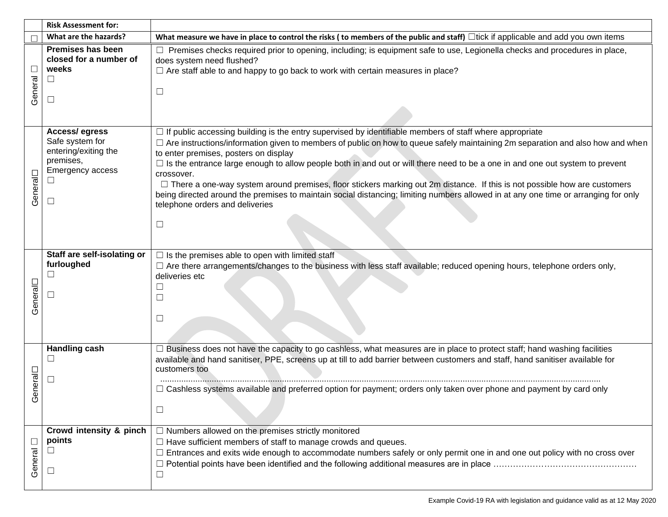|                   | <b>Risk Assessment for:</b>                                                                                                 |                                                                                                                                                                                                                                                                                                                                                                                                                                                                                                                                                                                                                                                                                                                                                                               |
|-------------------|-----------------------------------------------------------------------------------------------------------------------------|-------------------------------------------------------------------------------------------------------------------------------------------------------------------------------------------------------------------------------------------------------------------------------------------------------------------------------------------------------------------------------------------------------------------------------------------------------------------------------------------------------------------------------------------------------------------------------------------------------------------------------------------------------------------------------------------------------------------------------------------------------------------------------|
|                   | What are the hazards?                                                                                                       | What measure we have in place to control the risks (to members of the public and staff) $\Box$ tick if applicable and add you own items                                                                                                                                                                                                                                                                                                                                                                                                                                                                                                                                                                                                                                       |
| $\Box$<br>General | <b>Premises has been</b><br>closed for a number of<br>weeks<br>$\Box$<br>$\Box$                                             | □ Premises checks required prior to opening, including; is equipment safe to use, Legionella checks and procedures in place,<br>does system need flushed?<br>$\Box$ Are staff able to and happy to go back to work with certain measures in place?<br>$\Box$                                                                                                                                                                                                                                                                                                                                                                                                                                                                                                                  |
| General           | <b>Access/egress</b><br>Safe system for<br>entering/exiting the<br>premises,<br><b>Emergency access</b><br>$\Box$<br>$\Box$ | $\Box$ If public accessing building is the entry supervised by identifiable members of staff where appropriate<br>$\Box$ Are instructions/information given to members of public on how to queue safely maintaining 2m separation and also how and when<br>to enter premises, posters on display<br>$\Box$ Is the entrance large enough to allow people both in and out or will there need to be a one in and one out system to prevent<br>crossover.<br>$\Box$ There a one-way system around premises, floor stickers marking out 2m distance. If this is not possible how are customers<br>being directed around the premises to maintain social distancing; limiting numbers allowed in at any one time or arranging for only<br>telephone orders and deliveries<br>$\Box$ |
| General           | Staff are self-isolating or<br>furloughed<br>□<br>П                                                                         | $\Box$ Is the premises able to open with limited staff<br>□ Are there arrangements/changes to the business with less staff available; reduced opening hours, telephone orders only,<br>deliveries etc<br>$\Box$<br>$\Box$                                                                                                                                                                                                                                                                                                                                                                                                                                                                                                                                                     |
| ieneral<br>ပ      | <b>Handling cash</b><br>$\Box$<br>□                                                                                         | $\Box$ Business does not have the capacity to go cashless, what measures are in place to protect staff; hand washing facilities<br>available and hand sanitiser, PPE, screens up at till to add barrier between customers and staff, hand sanitiser available for<br>customers too<br>$\Box$ Cashless systems available and preferred option for payment; orders only taken over phone and payment by card only<br>$\Box$                                                                                                                                                                                                                                                                                                                                                     |
| $\Box$<br>General | Crowd intensity & pinch<br>points<br>$\Box$<br>$\Box$                                                                       | $\Box$ Numbers allowed on the premises strictly monitored<br>$\Box$ Have sufficient members of staff to manage crowds and queues.<br>$\Box$ Entrances and exits wide enough to accommodate numbers safely or only permit one in and one out policy with no cross over<br>$\Box$                                                                                                                                                                                                                                                                                                                                                                                                                                                                                               |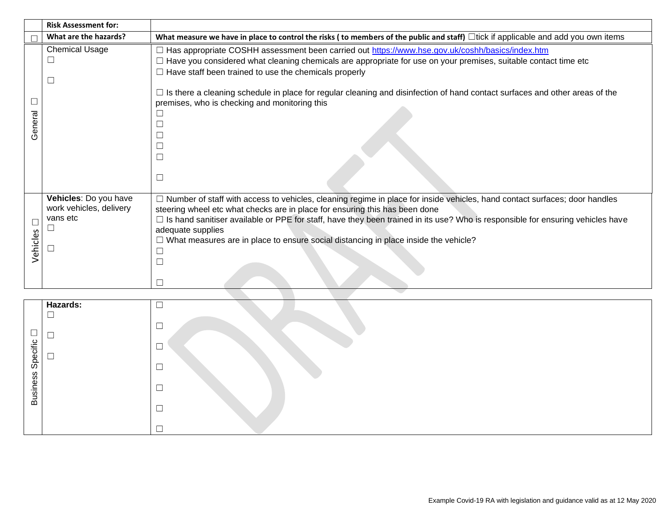|                    | <b>Risk Assessment for:</b>                                            |                                                                                                                                                                                                                                                                                                                                                                                                                                                                                                                            |
|--------------------|------------------------------------------------------------------------|----------------------------------------------------------------------------------------------------------------------------------------------------------------------------------------------------------------------------------------------------------------------------------------------------------------------------------------------------------------------------------------------------------------------------------------------------------------------------------------------------------------------------|
|                    | What are the hazards?                                                  | What measure we have in place to control the risks (to members of the public and staff) $\Box$ tick if applicable and add you own items                                                                                                                                                                                                                                                                                                                                                                                    |
| eneral<br>$\sigma$ | <b>Chemical Usage</b>                                                  | □ Has appropriate COSHH assessment been carried out https://www.hse.gov.uk/coshh/basics/index.htm<br>$\Box$ Have you considered what cleaning chemicals are appropriate for use on your premises, suitable contact time etc<br>$\Box$ Have staff been trained to use the chemicals properly<br>$\Box$ Is there a cleaning schedule in place for regular cleaning and disinfection of hand contact surfaces and other areas of the<br>premises, who is checking and monitoring this<br>$\Box$<br>$\Box$<br>$\Box$<br>$\Box$ |
| Vehicles           | Vehicles: Do you have<br>work vehicles, delivery<br>vans etc<br>$\Box$ | □ Number of staff with access to vehicles, cleaning regime in place for inside vehicles, hand contact surfaces; door handles<br>steering wheel etc what checks are in place for ensuring this has been done<br>$\Box$ Is hand sanitiser available or PPE for staff, have they been trained in its use? Who is responsible for ensuring vehicles have<br>adequate supplies<br>$\Box$ What measures are in place to ensure social distancing in place inside the vehicle?<br>$\Box$<br>$\Box$<br>П                           |

|                 | Hazards: | $\Box$ |
|-----------------|----------|--------|
|                 | $\Box$   |        |
|                 |          | $\Box$ |
| ٮ               |          |        |
|                 | ┍        | $\Box$ |
| Specific        | └        | ┍      |
|                 |          |        |
|                 |          |        |
| <b>Business</b> |          |        |
|                 |          |        |
|                 |          |        |
|                 |          |        |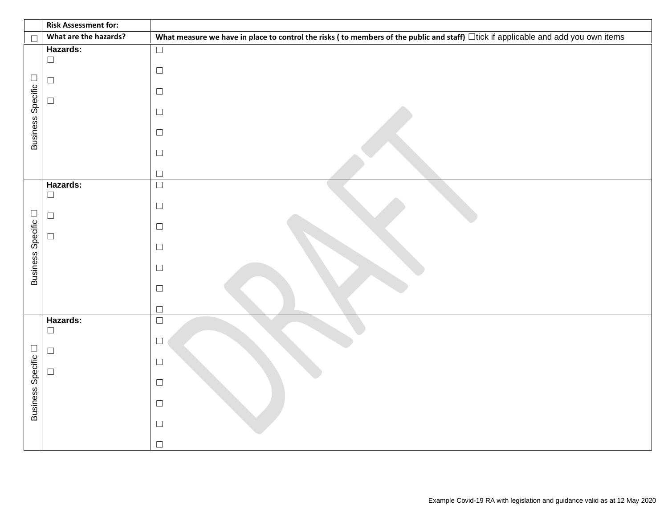|                          | <b>Risk Assessment for:</b>            |                                                                                                                                   |
|--------------------------|----------------------------------------|-----------------------------------------------------------------------------------------------------------------------------------|
| $\Box$                   | What are the hazards?                  | What measure we have in place to control the risks (to members of the public and staff) Itick if applicable and add you own items |
|                          | Hazards:<br>$\Box$                     | $\Box$                                                                                                                            |
| $\Box$                   | $\Box$                                 | $\Box$                                                                                                                            |
| <b>Business Specific</b> | $\Box$                                 | $\Box$<br>$\Box$                                                                                                                  |
|                          |                                        |                                                                                                                                   |
|                          |                                        | $\Box$                                                                                                                            |
|                          |                                        | $\Box$                                                                                                                            |
|                          |                                        | $\Box$                                                                                                                            |
| Business Specific        | Hazards:<br>$\Box$<br>$\Box$<br>$\Box$ | $\Box$<br>$\Box$<br>$\Box$<br>$\Box$<br>$\Box$<br>$\Box$<br>$\Box$                                                                |
| Business Specific        | Hazards:<br>$\Box$<br>$\Box$<br>$\Box$ | $\Box$<br>$\Box$<br>$\Box$<br>$\Box$<br>$\Box$<br>$\Box$<br>$\Box$                                                                |